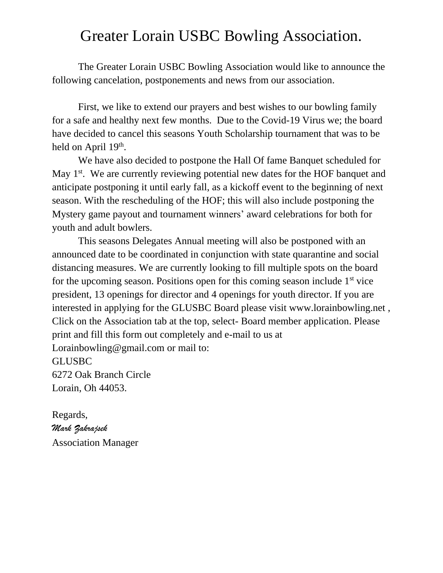## Greater Lorain USBC Bowling Association.

The Greater Lorain USBC Bowling Association would like to announce the following cancelation, postponements and news from our association.

First, we like to extend our prayers and best wishes to our bowling family for a safe and healthy next few months. Due to the Covid-19 Virus we; the board have decided to cancel this seasons Youth Scholarship tournament that was to be held on April 19<sup>th</sup>.

We have also decided to postpone the Hall Of fame Banquet scheduled for May 1<sup>st</sup>. We are currently reviewing potential new dates for the HOF banquet and anticipate postponing it until early fall, as a kickoff event to the beginning of next season. With the rescheduling of the HOF; this will also include postponing the Mystery game payout and tournament winners' award celebrations for both for youth and adult bowlers.

This seasons Delegates Annual meeting will also be postponed with an announced date to be coordinated in conjunction with state quarantine and social distancing measures. We are currently looking to fill multiple spots on the board for the upcoming season. Positions open for this coming season include  $1<sup>st</sup>$  vice president, 13 openings for director and 4 openings for youth director. If you are interested in applying for the GLUSBC Board please visit www.lorainbowling.net , Click on the Association tab at the top, select- Board member application. Please print and fill this form out completely and e-mail to us at Lorainbowling@gmail.com or mail to: GLUSBC 6272 Oak Branch Circle Lorain, Oh 44053.

Regards, *Mark Zakrajsek* Association Manager